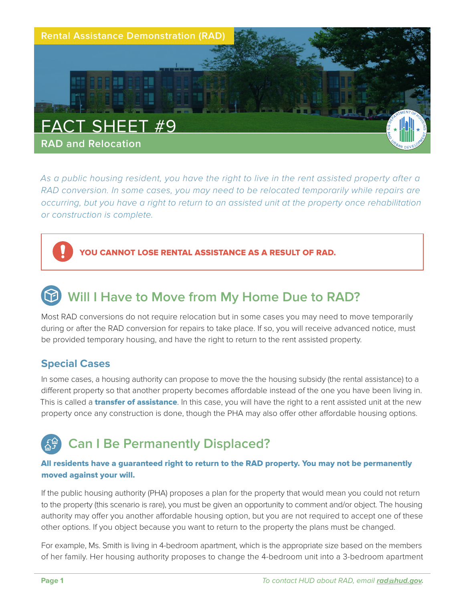

*As a public housing resident, you have the right to live in the rent assisted property after a RAD conversion. In some cases, you may need to be relocated temporarily while repairs are occurring, but you have a right to return to an assisted unit at the property once rehabilitation or construction is complete.* 



YOU CANNOT LOSE RENTAL ASSISTANCE AS A RESULT OF RAD.

### **Will I Have to Move from My Home Due to RAD?**

Most RAD conversions do not require relocation but in some cases you may need to move temporarily during or after the RAD conversion for repairs to take place. If so, you will receive advanced notice, must be provided temporary housing, and have the right to return to the rent assisted property.

#### **Special Cases**

In some cases, a housing authority can propose to move the the housing subsidy (the rental assistance) to a different property so that another property becomes affordable instead of the one you have been living in. This is called a transfer of assistance. In this case, you will have the right to a rent assisted unit at the new property once any construction is done, though the PHA may also offer other affordable housing options.

### **Can I Be Permanently Displaced?**

#### All residents have a guaranteed right to return to the RAD property. You may not be permanently moved against your will.

If the public housing authority (PHA) proposes a plan for the property that would mean you could not return to the property (this scenario is rare), you must be given an opportunity to comment and/or object. The housing authority may offer you another affordable housing option, but you are not required to accept one of these other options. If you object because you want to return to the property the plans must be changed.

For example, Ms. Smith is living in 4-bedroom apartment, which is the appropriate size based on the members of her family. Her housing authority proposes to change the 4-bedroom unit into a 3-bedroom apartment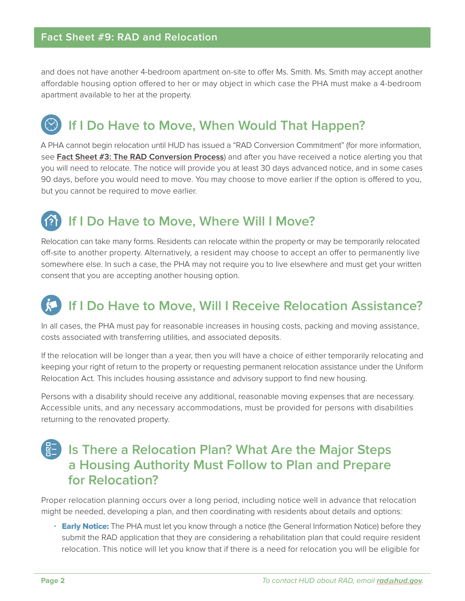and does not have another 4-bedroom apartment on-site to offer Ms. Smith. Ms. Smith may accept another affordable housing option offered to her or may object in which case the PHA must make a 4-bedroom apartment available to her at the property.

#### **If I Do Have to Move, When Would That Happen?**

A PHA cannot begin relocation until HUD has issued a "RAD Conversion Commitment" (for more information, see **[Fact Sheet #3: The RAD Conversion Process](https://www.hud.gov/sites/dfiles/Housing/documents/RADResidentFactSheet_3_RADConversionProcess.pdf)**) and after you have received a notice alerting you that you will need to relocate. The notice will provide you at least 30 days advanced notice, and in some cases 90 days, before you would need to move. You may choose to move earlier if the option is offered to you, but you cannot be required to move earlier.

#### **If I Do Have to Move, Where Will I Move?**

Relocation can take many forms. Residents can relocate within the property or may be temporarily relocated off-site to another property. Alternatively, a resident may choose to accept an offer to permanently live somewhere else. In such a case, the PHA may not require you to live elsewhere and must get your written consent that you are accepting another housing option.

## **If I Do Have to Move, Will I Receive Relocation Assistance?**

In all cases, the PHA must pay for reasonable increases in housing costs, packing and moving assistance, costs associated with transferring utilities, and associated deposits.

If the relocation will be longer than a year, then you will have a choice of either temporarily relocating and keeping your right of return to the property or requesting permanent relocation assistance under the Uniform Relocation Act. This includes housing assistance and advisory support to find new housing.

Persons with a disability should receive any additional, reasonable moving expenses that are necessary. Accessible units, and any necessary accommodations, must be provided for persons with disabilities returning to the renovated property.

#### **Is There a Relocation Plan? What Are the Major Steps a Housing Authority Must Follow to Plan and Prepare for Relocation?**

Proper relocation planning occurs over a long period, including notice well in advance that relocation might be needed, developing a plan, and then coordinating with residents about details and options:

• Early Notice: The PHA must let you know through a notice (the General Information Notice) before they submit the RAD application that they are considering a rehabilitation plan that could require resident relocation. This notice will let you know that if there is a need for relocation you will be eligible for